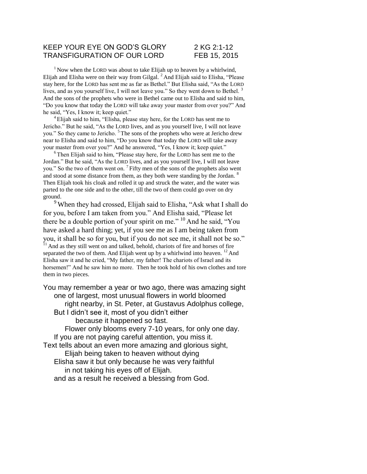## KEEP YOUR EYE ON GOD'S GLORY 2 KG 2:1-12 TRANSFIGURATION OF OUR LORD FEB 15, 2015

 $1$  Now when the LORD was about to take Elijah up to heaven by a whirlwind, Elijah and Elisha were on their way from Gilgal.  ${}^{2}$  And Elijah said to Elisha, "Please stay here, for the LORD has sent me as far as Bethel." But Elisha said, "As the LORD lives, and as you yourself live, I will not leave you." So they went down to Bethel.<sup>3</sup> And the sons of the prophets who were in Bethel came out to Elisha and said to him, "Do you know that today the LORD will take away your master from over you?" And he said, "Yes, I know it; keep quiet."

 $4$  Elijah said to him, "Elisha, please stay here, for the LORD has sent me to Jericho." But he said, "As the LORD lives, and as you yourself live, I will not leave you." So they came to Jericho. <sup>5</sup>The sons of the prophets who were at Jericho drew near to Elisha and said to him, "Do you know that today the LORD will take away your master from over you?" And he answered, "Yes, I know it; keep quiet."

 $6$ Then Elijah said to him, "Please stay here, for the LORD has sent me to the Jordan." But he said, "As the LORD lives, and as you yourself live, I will not leave you." So the two of them went on. <sup>7</sup>Fifty men of the sons of the prophets also went and stood at some distance from them, as they both were standing by the Jordan. <sup>8</sup> Then Elijah took his cloak and rolled it up and struck the water, and the water was parted to the one side and to the other, till the two of them could go over on dry ground.

<sup>9</sup> When they had crossed, Elijah said to Elisha, "Ask what I shall do for you, before I am taken from you." And Elisha said, "Please let there be a double portion of your spirit on me."  $^{10}$  And he said, "You have asked a hard thing; yet, if you see me as I am being taken from you, it shall be so for you, but if you do not see me, it shall not be so." <sup>11</sup> And as they still went on and talked, behold, chariots of fire and horses of fire separated the two of them. And Elijah went up by a whirlwind into heaven.  $^{12}$  And Elisha saw it and he cried, "My father, my father! The chariots of Israel and its horsemen!" And he saw him no more. Then he took hold of his own clothes and tore them in two pieces.

You may remember a year or two ago, there was amazing sight one of largest, most unusual flowers in world bloomed right nearby, in St. Peter, at Gustavus Adolphus college, But I didn't see it, most of you didn't either because it happened so fast. Flower only blooms every 7-10 years, for only one day. If you are not paying careful attention, you miss it. Text tells about an even more amazing and glorious sight, Elijah being taken to heaven without dying Elisha saw it but only because he was very faithful in not taking his eyes off of Elijah. and as a result he received a blessing from God.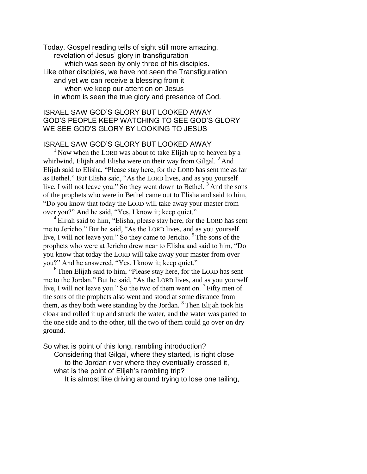Today, Gospel reading tells of sight still more amazing, revelation of Jesus' glory in transfiguration which was seen by only three of his disciples. Like other disciples, we have not seen the Transfiguration and yet we can receive a blessing from it when we keep our attention on Jesus in whom is seen the true glory and presence of God.

# ISRAEL SAW GOD'S GLORY BUT LOOKED AWAY GOD'S PEOPLE KEEP WATCHING TO SEE GOD'S GLORY WE SEE GOD'S GLORY BY LOOKING TO JESUS

### ISRAEL SAW GOD'S GLORY BUT LOOKED AWAY

 $1$  Now when the LORD was about to take Elijah up to heaven by a whirlwind, Elijah and Elisha were on their way from Gilgal.  $2$  And Elijah said to Elisha, "Please stay here, for the LORD has sent me as far as Bethel." But Elisha said, "As the LORD lives, and as you yourself live, I will not leave you." So they went down to Bethel.<sup>3</sup> And the sons of the prophets who were in Bethel came out to Elisha and said to him, "Do you know that today the LORD will take away your master from over you?" And he said, "Yes, I know it; keep quiet."

 $4$  Elijah said to him, "Elisha, please stay here, for the LORD has sent me to Jericho." But he said, "As the LORD lives, and as you yourself live, I will not leave you." So they came to Jericho.  $5$  The sons of the prophets who were at Jericho drew near to Elisha and said to him, "Do you know that today the LORD will take away your master from over you?" And he answered, "Yes, I know it; keep quiet."

<sup>6</sup> Then Elijah said to him, "Please stay here, for the LORD has sent me to the Jordan." But he said, "As the LORD lives, and as you yourself live, I will not leave you." So the two of them went on.  $\frac{7}{7}$  Fifty men of the sons of the prophets also went and stood at some distance from them, as they both were standing by the Jordan.  $8$  Then Elijah took his cloak and rolled it up and struck the water, and the water was parted to the one side and to the other, till the two of them could go over on dry ground.

So what is point of this long, rambling introduction?

Considering that Gilgal, where they started, is right close to the Jordan river where they eventually crossed it, what is the point of Elijah's rambling trip?

It is almost like driving around trying to lose one tailing,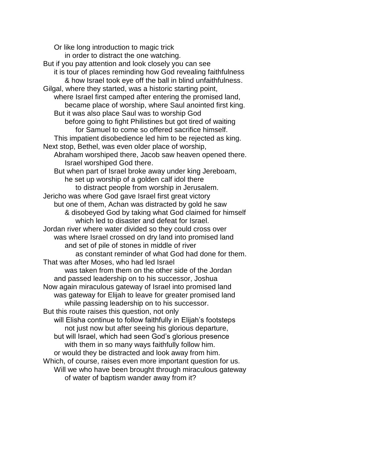Or like long introduction to magic trick in order to distract the one watching. But if you pay attention and look closely you can see it is tour of places reminding how God revealing faithfulness & how Israel took eye off the ball in blind unfaithfulness. Gilgal, where they started, was a historic starting point, where Israel first camped after entering the promised land, became place of worship, where Saul anointed first king. But it was also place Saul was to worship God before going to fight Philistines but got tired of waiting for Samuel to come so offered sacrifice himself. This impatient disobedience led him to be rejected as king. Next stop, Bethel, was even older place of worship, Abraham worshiped there, Jacob saw heaven opened there. Israel worshiped God there. But when part of Israel broke away under king Jereboam, he set up worship of a golden calf idol there to distract people from worship in Jerusalem. Jericho was where God gave Israel first great victory but one of them, Achan was distracted by gold he saw & disobeyed God by taking what God claimed for himself which led to disaster and defeat for Israel. Jordan river where water divided so they could cross over was where Israel crossed on dry land into promised land and set of pile of stones in middle of river as constant reminder of what God had done for them. That was after Moses, who had led Israel was taken from them on the other side of the Jordan and passed leadership on to his successor, Joshua Now again miraculous gateway of Israel into promised land was gateway for Elijah to leave for greater promised land while passing leadership on to his successor. But this route raises this question, not only will Elisha continue to follow faithfully in Elijah's footsteps not just now but after seeing his glorious departure, but will Israel, which had seen God's glorious presence with them in so many ways faithfully follow him. or would they be distracted and look away from him. Which, of course, raises even more important question for us. Will we who have been brought through miraculous gateway of water of baptism wander away from it?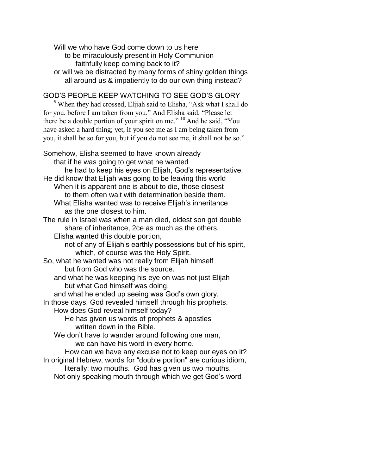Will we who have God come down to us here to be miraculously present in Holy Communion faithfully keep coming back to it? or will we be distracted by many forms of shiny golden things all around us & impatiently to do our own thing instead?

# GOD'S PEOPLE KEEP WATCHING TO SEE GOD'S GLORY

<sup>9</sup> When they had crossed, Elijah said to Elisha, "Ask what I shall do for you, before I am taken from you." And Elisha said, "Please let there be a double portion of your spirit on me."  $^{10}$  And he said, "You have asked a hard thing; yet, if you see me as I am being taken from you, it shall be so for you, but if you do not see me, it shall not be so."

Somehow, Elisha seemed to have known already that if he was going to get what he wanted he had to keep his eyes on Elijah, God's representative. He did know that Elijah was going to be leaving this world When it is apparent one is about to die, those closest to them often wait with determination beside them. What Elisha wanted was to receive Elijah's inheritance as the one closest to him. The rule in Israel was when a man died, oldest son got double share of inheritance, 2ce as much as the others. Elisha wanted this double portion, not of any of Elijah's earthly possessions but of his spirit, which, of course was the Holy Spirit. So, what he wanted was not really from Elijah himself but from God who was the source. and what he was keeping his eye on was not just Elijah but what God himself was doing. and what he ended up seeing was God's own glory. In those days, God revealed himself through his prophets. How does God reveal himself today? He has given us words of prophets & apostles written down in the Bible. We don't have to wander around following one man, we can have his word in every home. How can we have any excuse not to keep our eyes on it? In original Hebrew, words for "double portion" are curious idiom, literally: two mouths. God has given us two mouths. Not only speaking mouth through which we get God's word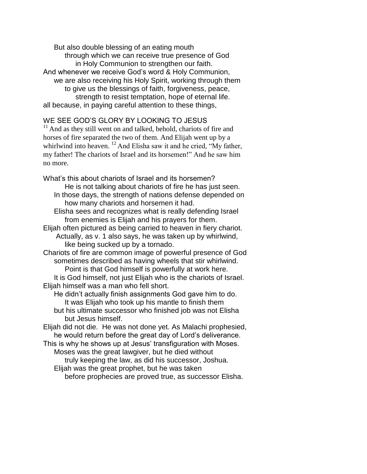But also double blessing of an eating mouth through which we can receive true presence of God in Holy Communion to strengthen our faith. And whenever we receive God's word & Holy Communion, we are also receiving his Holy Spirit, working through them to give us the blessings of faith, forgiveness, peace, strength to resist temptation, hope of eternal life. all because, in paying careful attention to these things,

# WE SEE GOD'S GLORY BY LOOKING TO JESUS

<sup>11</sup> And as they still went on and talked, behold, chariots of fire and horses of fire separated the two of them. And Elijah went up by a whirlwind into heaven.  $^{12}$  And Elisha saw it and he cried, "My father, my father! The chariots of Israel and its horsemen!" And he saw him no more.

What's this about chariots of Israel and its horsemen? He is not talking about chariots of fire he has just seen. In those days, the strength of nations defense depended on how many chariots and horsemen it had.

Elisha sees and recognizes what is really defending Israel from enemies is Elijah and his prayers for them.

Elijah often pictured as being carried to heaven in fiery chariot. Actually, as v. 1 also says, he was taken up by whirlwind, like being sucked up by a tornado.

Chariots of fire are common image of powerful presence of God sometimes described as having wheels that stir whirlwind.

Point is that God himself is powerfully at work here.

It is God himself, not just Elijah who is the chariots of Israel. Elijah himself was a man who fell short.

He didn't actually finish assignments God gave him to do. It was Elijah who took up his mantle to finish them but his ultimate successor who finished job was not Elisha

but Jesus himself.

Elijah did not die. He was not done yet. As Malachi prophesied, he would return before the great day of Lord's deliverance.

This is why he shows up at Jesus' transfiguration with Moses. Moses was the great lawgiver, but he died without truly keeping the law, as did his successor, Joshua.

Elijah was the great prophet, but he was taken

before prophecies are proved true, as successor Elisha.